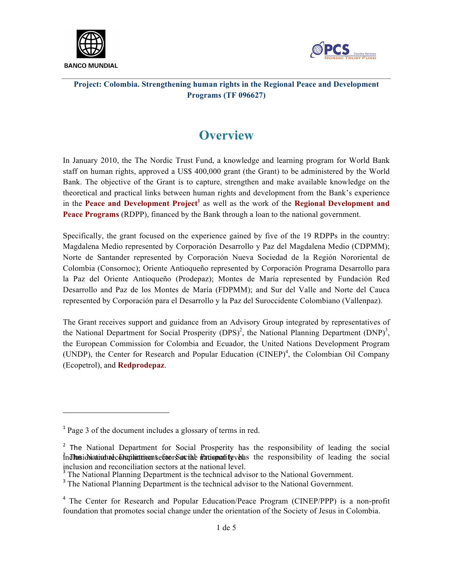



## **Overview**

In January 2010, the The Nordic Trust Fund, a knowledge and learning program for World Bank staff on human rights, approved a US\$ 400,000 grant (the Grant) to be administered by the World Bank. The objective of the Grant is to capture, strengthen and make available knowledge on the theoretical and practical links between human rights and development from the Bank's experience in the **Peace and Development Project<sup>1</sup>** as well as the work of the **Regional Development and Peace Programs** (RDPP), financed by the Bank through a loan to the national government.

Specifically, the grant focused on the experience gained by five of the 19 RDPPs in the country: Magdalena Medio represented by Corporación Desarrollo y Paz del Magdalena Medio (CDPMM); Norte de Santander represented by Corporación Nueva Sociedad de la Región Nororiental de Colombia (Consornoc); Oriente Antioqueño represented by Corporación Programa Desarrollo para la Paz del Oriente Antioqueño (Prodepaz); Montes de María represented by Fundación Red Desarrollo and Paz de los Montes de María (FDPMM); and Sur del Valle and Norte del Cauca represented by Corporación para el Desarrollo y la Paz del Suroccidente Colombiano (Vallenpaz).

The Grant receives support and guidance from an Advisory Group integrated by representatives of the National Department for Social Prosperity  $(DPS)^2$ , the National Planning Department  $(DNP)^3$ , the European Commission for Colombia and Ecuador, the United Nations Development Program (UNDP), the Center for Research and Popular Education (CINEP)<sup>4</sup>, the Colombian Oil Company (Ecopetrol), and **Redprodepaz**.

 

<sup>&</sup>lt;sup>1</sup> Page 3 of the document includes a glossary of terms in red.

<sup>&</sup>lt;sup>2</sup> The National Department for Social Prosperity has the responsibility of leading the social  $^{2}_{1}$  in The social department of  $\delta$  at the nation particle whose the responsibility of leading the social inclusion and reconciliation sectors at the national level.

The National Planning Department is the technical advisor to the National Government.

<sup>&</sup>lt;sup>3</sup> The National Planning Department is the technical advisor to the National Government.

<sup>&</sup>lt;sup>4</sup> The Center for Research and Popular Education/Peace Program (CINEP/PPP) is a non-profit foundation that promotes social change under the orientation of the Society of Jesus in Colombia.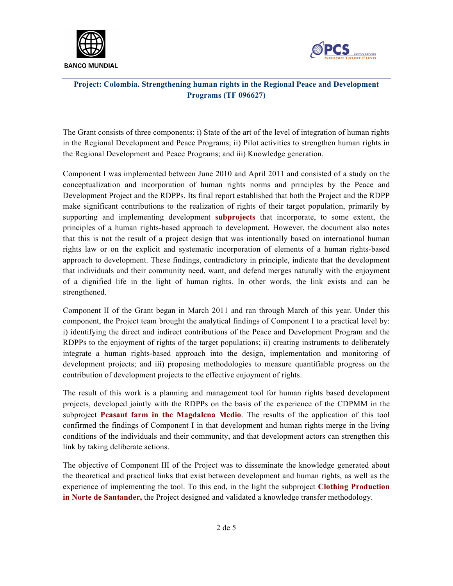



The Grant consists of three components: i) State of the art of the level of integration of human rights in the Regional Development and Peace Programs; ii) Pilot activities to strengthen human rights in the Regional Development and Peace Programs; and iii) Knowledge generation.

Component I was implemented between June 2010 and April 2011 and consisted of a study on the conceptualization and incorporation of human rights norms and principles by the Peace and Development Project and the RDPPs. Its final report established that both the Project and the RDPP make significant contributions to the realization of rights of their target population, primarily by supporting and implementing development **subprojects** that incorporate, to some extent, the principles of a human rights-based approach to development. However, the document also notes that this is not the result of a project design that was intentionally based on international human rights law or on the explicit and systematic incorporation of elements of a human rights-based approach to development. These findings, contradictory in principle, indicate that the development that individuals and their community need, want, and defend merges naturally with the enjoyment of a dignified life in the light of human rights. In other words, the link exists and can be strengthened.

Component II of the Grant began in March 2011 and ran through March of this year. Under this component, the Project team brought the analytical findings of Component I to a practical level by: i) identifying the direct and indirect contributions of the Peace and Development Program and the RDPPs to the enjoyment of rights of the target populations; ii) creating instruments to deliberately integrate a human rights-based approach into the design, implementation and monitoring of development projects; and iii) proposing methodologies to measure quantifiable progress on the contribution of development projects to the effective enjoyment of rights.

The result of this work is a planning and management tool for human rights based development projects, developed jointly with the RDPPs on the basis of the experience of the CDPMM in the subproject **Peasant farm in the Magdalena Medio**. The results of the application of this tool confirmed the findings of Component I in that development and human rights merge in the living conditions of the individuals and their community, and that development actors can strengthen this link by taking deliberate actions.

The objective of Component III of the Project was to disseminate the knowledge generated about the theoretical and practical links that exist between development and human rights, as well as the experience of implementing the tool. To this end, in the light the subproject **Clothing Production in Norte de Santander,** the Project designed and validated a knowledge transfer methodology.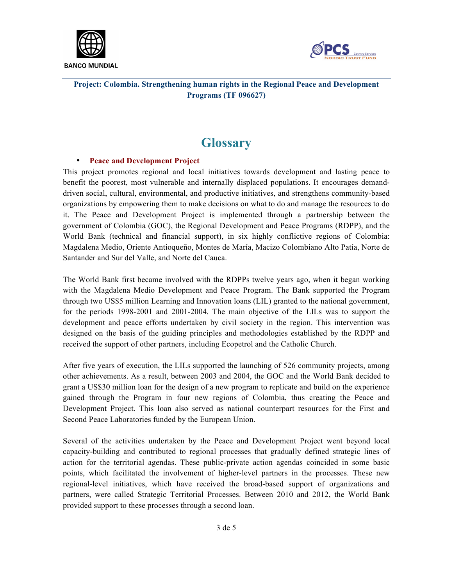



# **Glossary**

## • **Peace and Development Project**

This project promotes regional and local initiatives towards development and lasting peace to benefit the poorest, most vulnerable and internally displaced populations. It encourages demanddriven social, cultural, environmental, and productive initiatives, and strengthens community-based organizations by empowering them to make decisions on what to do and manage the resources to do it. The Peace and Development Project is implemented through a partnership between the government of Colombia (GOC), the Regional Development and Peace Programs (RDPP), and the World Bank (technical and financial support), in six highly conflictive regions of Colombia: Magdalena Medio, Oriente Antioqueño, Montes de María, Macizo Colombiano Alto Patía, Norte de Santander and Sur del Valle, and Norte del Cauca.

The World Bank first became involved with the RDPPs twelve years ago, when it began working with the Magdalena Medio Development and Peace Program. The Bank supported the Program through two US\$5 million Learning and Innovation loans (LIL) granted to the national government, for the periods 1998-2001 and 2001-2004. The main objective of the LILs was to support the development and peace efforts undertaken by civil society in the region. This intervention was designed on the basis of the guiding principles and methodologies established by the RDPP and received the support of other partners, including Ecopetrol and the Catholic Church.

After five years of execution, the LILs supported the launching of 526 community projects, among other achievements. As a result, between 2003 and 2004, the GOC and the World Bank decided to grant a US\$30 million loan for the design of a new program to replicate and build on the experience gained through the Program in four new regions of Colombia, thus creating the Peace and Development Project. This loan also served as national counterpart resources for the First and Second Peace Laboratories funded by the European Union.

Several of the activities undertaken by the Peace and Development Project went beyond local capacity-building and contributed to regional processes that gradually defined strategic lines of action for the territorial agendas. These public-private action agendas coincided in some basic points, which facilitated the involvement of higher-level partners in the processes. These new regional-level initiatives, which have received the broad-based support of organizations and partners, were called Strategic Territorial Processes. Between 2010 and 2012, the World Bank provided support to these processes through a second loan.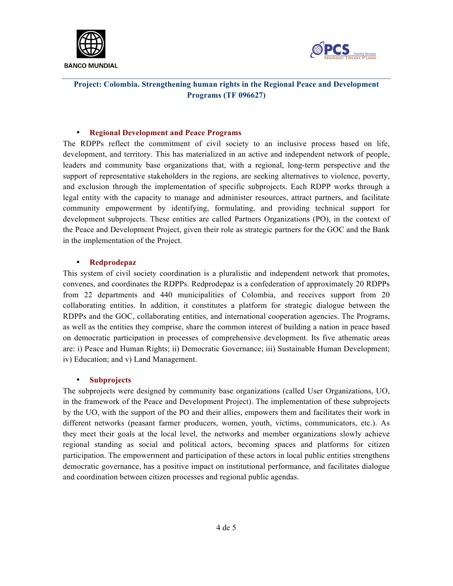



#### • **Regional Development and Peace Programs**

The RDPPs reflect the commitment of civil society to an inclusive process based on life, development, and territory. This has materialized in an active and independent network of people, leaders and community base organizations that, with a regional, long-term perspective and the support of representative stakeholders in the regions, are seeking alternatives to violence, poverty, and exclusion through the implementation of specific subprojects. Each RDPP works through a legal entity with the capacity to manage and administer resources, attract partners, and facilitate community empowerment by identifying, formulating, and providing technical support for development subprojects. These entities are called Partners Organizations (PO), in the context of the Peace and Development Project, given their role as strategic partners for the GOC and the Bank in the implementation of the Project.

#### • **Redprodepaz**

This system of civil society coordination is a pluralistic and independent network that promotes, convenes, and coordinates the RDPPs. Redprodepaz is a confederation of approximately 20 RDPPs from 22 departments and 440 municipalities of Colombia, and receives support from 20 collaborating entities. In addition, it constitutes a platform for strategic dialogue between the RDPPs and the GOC, collaborating entities, and international cooperation agencies. The Programs, as well as the entities they comprise, share the common interest of building a nation in peace based on democratic participation in processes of comprehensive development. Its five athematic areas are: i) Peace and Human Rights; ii) Democratic Governance; iii) Sustainable Human Development; iv) Education; and v) Land Management.

#### • **Subprojects**

The subprojects were designed by community base organizations (called User Organizations, UO, in the framework of the Peace and Development Project). The implementation of these subprojects by the UO, with the support of the PO and their allies, empowers them and facilitates their work in different networks (peasant farmer producers, women, youth, victims, communicators, etc.). As they meet their goals at the local level, the networks and member organizations slowly achieve regional standing as social and political actors, becoming spaces and platforms for citizen participation. The empowerment and participation of these actors in local public entities strengthens democratic governance, has a positive impact on institutional performance, and facilitates dialogue and coordination between citizen processes and regional public agendas.